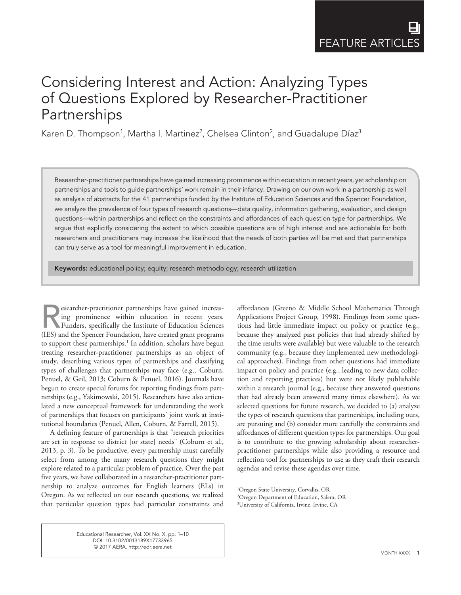# Considering Interest and Action: Analyzing Types of Questions Explored by Researcher-Practitioner Partnerships

Karen D. Thompson<sup>1</sup>, Martha I. Martinez<sup>2</sup>, Chelsea Clinton<sup>2</sup>, and Guadalupe Díaz<sup>3</sup>

Researcher-practitioner partnerships have gained increasing prominence within education in recent years, yet scholarship on partnerships and tools to guide partnerships' work remain in their infancy. Drawing on our own work in a partnership as well as analysis of abstracts for the 41 partnerships funded by the Institute of Education Sciences and the Spencer Foundation, we analyze the prevalence of four types of research questions—data quality, information gathering, evaluation, and design questions—within partnerships and reflect on the constraints and affordances of each question type for partnerships. We argue that explicitly considering the extent to which possible questions are of high interest and are actionable for both researchers and practitioners may increase the likelihood that the needs of both parties will be met and that partnerships can truly serve as a tool for meaningful improvement in education.

Keywords: educational policy; equity; research methodology; research utilization

Researcher-practitioner partnerships have gained increas-<br>
ing prominence within education in recent years.<br>
Funders, specifically the Institute of Education Sciences<br>
(IFS) and the Spencer Foundation have created grant pr ing prominence within education in recent years. (IES) and the Spencer Foundation, have created grant programs to support these partnerships.<sup>1</sup> In addition, scholars have begun treating researcher-practitioner partnerships as an object of study, describing various types of partnerships and classifying types of challenges that partnerships may face (e.g., Coburn, Penuel, & Geil, 2013; Coburn & Penuel, 2016). Journals have begun to create special forums for reporting findings from partnerships (e.g., Yakimowski, 2015). Researchers have also articulated a new conceptual framework for understanding the work of partnerships that focuses on participants' joint work at institutional boundaries (Penuel, Allen, Coburn, & Farrell, 2015).

A defining feature of partnerships is that "research priorities are set in response to district [or state] needs" (Coburn et al., 2013, p. 3). To be productive, every partnership must carefully select from among the many research questions they might explore related to a particular problem of practice. Over the past five years, we have collaborated in a researcher-practitioner partnership to analyze outcomes for English learners (ELs) in Oregon. As we reflected on our research questions, we realized that particular question types had particular constraints and

affordances (Greeno & Middle School Mathematics Through Applications Project Group, 1998). Findings from some questions had little immediate impact on policy or practice (e.g., because they analyzed past policies that had already shifted by the time results were available) but were valuable to the research community (e.g., because they implemented new methodological approaches). Findings from other questions had immediate impact on policy and practice (e.g., leading to new data collection and reporting practices) but were not likely publishable within a research journal (e.g., because they answered questions that had already been answered many times elsewhere). As we selected questions for future research, we decided to (a) analyze the types of research questions that partnerships, including ours, are pursuing and (b) consider more carefully the constraints and affordances of different question types for partnerships. Our goal is to contribute to the growing scholarship about researcherpractitioner partnerships while also providing a resource and reflection tool for partnerships to use as they craft their research agendas and revise these agendas over time.

Educational Researcher, Vol. XX No. X, pp. 1–10 [DOI: 10.3102/0013189X17733965](https://doi.org/10.3102/0013189X17733965) © 2017 AERA. htt[p://edr.aera.net](http://edr.aera.net)

<sup>1</sup> Oregon State University, Corvallis, OR

<sup>2</sup> Oregon Department of Education, Salem, OR

<sup>3</sup> University of California, Irvine, Irvine, CA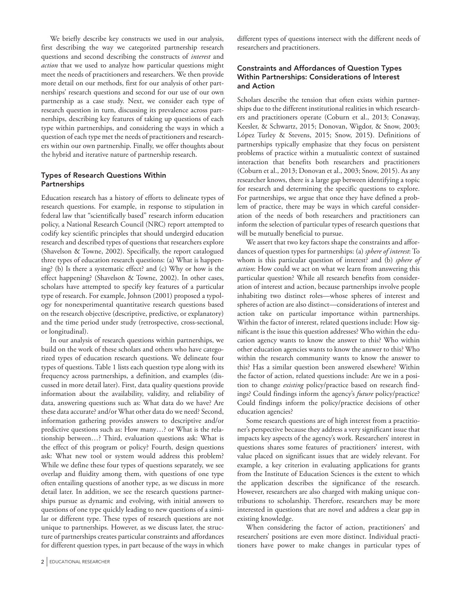We briefly describe key constructs we used in our analysis, first describing the way we categorized partnership research questions and second describing the constructs of *interest* and *action* that we used to analyze how particular questions might meet the needs of practitioners and researchers. We then provide more detail on our methods, first for our analysis of other partnerships' research questions and second for our use of our own partnership as a case study. Next, we consider each type of research question in turn, discussing its prevalence across partnerships, describing key features of taking up questions of each type within partnerships, and considering the ways in which a question of each type met the needs of practitioners and researchers within our own partnership. Finally, we offer thoughts about the hybrid and iterative nature of partnership research.

#### Types of Research Questions Within **Partnerships**

Education research has a history of efforts to delineate types of research questions. For example, in response to stipulation in federal law that "scientifically based" research inform education policy, a National Research Council (NRC) report attempted to codify key scientific principles that should undergird education research and described types of questions that researchers explore (Shavelson & Towne, 2002). Specifically, the report catalogued three types of education research questions: (a) What is happening? (b) Is there a systematic effect? and (c) Why or how is the effect happening? (Shavelson & Towne, 2002). In other cases, scholars have attempted to specify key features of a particular type of research. For example, Johnson (2001) proposed a typology for nonexperimental quantitative research questions based on the research objective (descriptive, predictive, or explanatory) and the time period under study (retrospective, cross-sectional, or longitudinal).

In our analysis of research questions within partnerships, we build on the work of these scholars and others who have categorized types of education research questions. We delineate four types of questions. Table 1 lists each question type along with its frequency across partnerships, a definition, and examples (discussed in more detail later). First, data quality questions provide information about the availability, validity, and reliability of data, answering questions such as: What data do we have? Are these data accurate? and/or What other data do we need? Second, information gathering provides answers to descriptive and/or predictive questions such as: How many…? or What is the relationship between…? Third, evaluation questions ask: What is the effect of this program or policy? Fourth, design questions ask: What new tool or system would address this problem? While we define these four types of questions separately, we see overlap and fluidity among them, with questions of one type often entailing questions of another type, as we discuss in more detail later. In addition, we see the research questions partnerships pursue as dynamic and evolving, with initial answers to questions of one type quickly leading to new questions of a similar or different type. These types of research questions are not unique to partnerships. However, as we discuss later, the structure of partnerships creates particular constraints and affordances for different question types, in part because of the ways in which

# Constraints and Affordances of Question Types Within Partnerships: Considerations of Interest and Action

Scholars describe the tension that often exists within partnerships due to the different institutional realities in which researchers and practitioners operate (Coburn et al., 2013; Conaway, Keesler, & Schwartz, 2015; Donovan, Wigdor, & Snow, 2003; López Turley & Stevens, 2015; Snow, 2015**)**. Definitions of partnerships typically emphasize that they focus on persistent problems of practice within a mutualistic context of sustained interaction that benefits both researchers and practitioners (Coburn et al., 2013; Donovan et al., 2003; Snow, 2015). As any researcher knows, there is a large gap between identifying a topic for research and determining the specific questions to explore. For partnerships, we argue that once they have defined a problem of practice, there may be ways in which careful consideration of the needs of both researchers and practitioners can inform the selection of particular types of research questions that will be mutually beneficial to pursue.

We assert that two key factors shape the constraints and affordances of question types for partnerships: (a) *sphere of interest*: To whom is this particular question of interest? and (b) *sphere of action*: How could we act on what we learn from answering this particular question? While all research benefits from consideration of interest and action, because partnerships involve people inhabiting two distinct roles—whose spheres of interest and spheres of action are also distinct—considerations of interest and action take on particular importance within partnerships. Within the factor of interest, related questions include: How significant is the issue this question addresses? Who within the education agency wants to know the answer to this? Who within other education agencies wants to know the answer to this? Who within the research community wants to know the answer to this? Has a similar question been answered elsewhere? Within the factor of action, related questions include: Are we in a position to change *existing* policy/practice based on research findings? Could findings inform the agency's *future* policy/practice? Could findings inform the policy/practice decisions of other education agencies?

Some research questions are of high interest from a practitioner's perspective because they address a very significant issue that impacts key aspects of the agency's work. Researchers' interest in questions shares some features of practitioners' interest, with value placed on significant issues that are widely relevant. For example, a key criterion in evaluating applications for grants from the Institute of Education Sciences is the extent to which the application describes the significance of the research. However, researchers are also charged with making unique contributions to scholarship. Therefore, researchers may be more interested in questions that are novel and address a clear gap in existing knowledge.

When considering the factor of action, practitioners' and researchers' positions are even more distinct. Individual practitioners have power to make changes in particular types of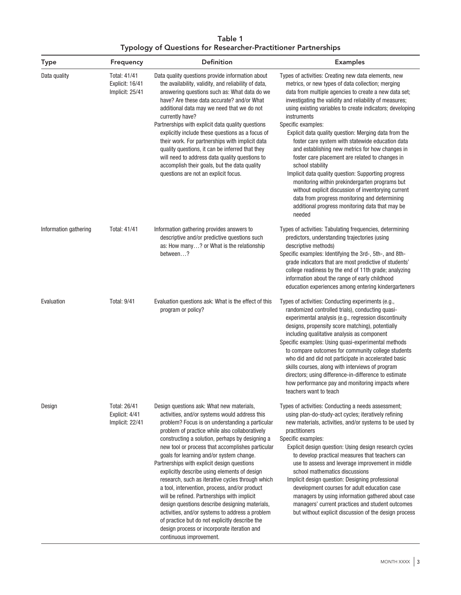Table 1 Typology of Questions for Researcher-Practitioner Partnerships

| <b>Type</b>           | Frequency                                          | Definition                                                                                                                                                                                                                                                                                                                                                                                                                                                                                                                                                                                                                                                                                                                                                                                                                             | <b>Examples</b>                                                                                                                                                                                                                                                                                                                                                                                                                                                                                                                                                                                                                                                                                                                                                                                                                                      |
|-----------------------|----------------------------------------------------|----------------------------------------------------------------------------------------------------------------------------------------------------------------------------------------------------------------------------------------------------------------------------------------------------------------------------------------------------------------------------------------------------------------------------------------------------------------------------------------------------------------------------------------------------------------------------------------------------------------------------------------------------------------------------------------------------------------------------------------------------------------------------------------------------------------------------------------|------------------------------------------------------------------------------------------------------------------------------------------------------------------------------------------------------------------------------------------------------------------------------------------------------------------------------------------------------------------------------------------------------------------------------------------------------------------------------------------------------------------------------------------------------------------------------------------------------------------------------------------------------------------------------------------------------------------------------------------------------------------------------------------------------------------------------------------------------|
| Data quality          | Total: 41/41<br>Explicit: 16/41<br>Implicit: 25/41 | Data quality questions provide information about<br>the availability, validity, and reliability of data,<br>answering questions such as: What data do we<br>have? Are these data accurate? and/or What<br>additional data may we need that we do not<br>currently have?<br>Partnerships with explicit data quality questions<br>explicitly include these questions as a focus of<br>their work. For partnerships with implicit data<br>quality questions, it can be inferred that they<br>will need to address data quality questions to<br>accomplish their goals, but the data quality<br>questions are not an explicit focus.                                                                                                                                                                                                       | Types of activities: Creating new data elements, new<br>metrics, or new types of data collection; merging<br>data from multiple agencies to create a new data set;<br>investigating the validity and reliability of measures;<br>using existing variables to create indicators; developing<br>instruments<br>Specific examples:<br>Explicit data quality question: Merging data from the<br>foster care system with statewide education data<br>and establishing new metrics for how changes in<br>foster care placement are related to changes in<br>school stability<br>Implicit data quality question: Supporting progress<br>monitoring within prekindergarten programs but<br>without explicit discussion of inventorying current<br>data from progress monitoring and determining<br>additional progress monitoring data that may be<br>needed |
| Information gathering | Total: 41/41                                       | Information gathering provides answers to<br>descriptive and/or predictive questions such<br>as: How many? or What is the relationship<br>between?                                                                                                                                                                                                                                                                                                                                                                                                                                                                                                                                                                                                                                                                                     | Types of activities: Tabulating frequencies, determining<br>predictors, understanding trajectories (using<br>descriptive methods)<br>Specific examples: Identifying the 3rd-, 5th-, and 8th-<br>grade indicators that are most predictive of students'<br>college readiness by the end of 11th grade; analyzing<br>information about the range of early childhood<br>education experiences among entering kindergarteners                                                                                                                                                                                                                                                                                                                                                                                                                            |
| Evaluation            | <b>Total: 9/41</b>                                 | Evaluation questions ask: What is the effect of this<br>program or policy?                                                                                                                                                                                                                                                                                                                                                                                                                                                                                                                                                                                                                                                                                                                                                             | Types of activities: Conducting experiments (e.g.,<br>randomized controlled trials), conducting quasi-<br>experimental analysis (e.g., regression discontinuity<br>designs, propensity score matching), potentially<br>including qualitative analysis as component<br>Specific examples: Using quasi-experimental methods<br>to compare outcomes for community college students<br>who did and did not participate in accelerated basic<br>skills courses, along with interviews of program<br>directors; using difference-in-difference to estimate<br>how performance pay and monitoring impacts where<br>teachers want to teach                                                                                                                                                                                                                   |
| Design                | Total: 26/41<br>Explicit: 4/41<br>Implicit: 22/41  | Design questions ask: What new materials,<br>activities, and/or systems would address this<br>problem? Focus is on understanding a particular<br>problem of practice while also collaboratively<br>constructing a solution, perhaps by designing a<br>new tool or process that accomplishes particular<br>goals for learning and/or system change.<br>Partnerships with explicit design questions<br>explicitly describe using elements of design<br>research, such as iterative cycles through which<br>a tool, intervention, process, and/or product<br>will be refined. Partnerships with implicit<br>design questions describe designing materials,<br>activities, and/or systems to address a problem<br>of practice but do not explicitly describe the<br>design process or incorporate iteration and<br>continuous improvement. | Types of activities: Conducting a needs assessment;<br>using plan-do-study-act cycles; iteratively refining<br>new materials, activities, and/or systems to be used by<br>practitioners<br>Specific examples:<br>Explicit design question: Using design research cycles<br>to develop practical measures that teachers can<br>use to assess and leverage improvement in middle<br>school mathematics discussions<br>Implicit design question: Designing professional<br>development courses for adult education case<br>managers by using information gathered about case<br>managers' current practices and student outcomes<br>but without explicit discussion of the design process                                                                                                                                                               |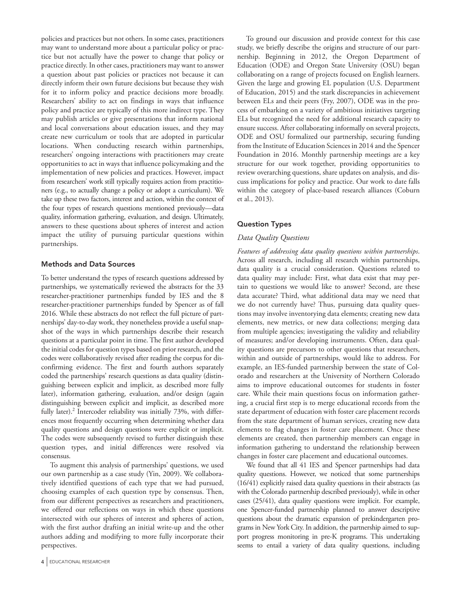policies and practices but not others. In some cases, practitioners may want to understand more about a particular policy or practice but not actually have the power to change that policy or practice directly. In other cases, practitioners may want to answer a question about past policies or practices not because it can directly inform their own future decisions but because they wish for it to inform policy and practice decisions more broadly. Researchers' ability to act on findings in ways that influence policy and practice are typically of this more indirect type. They may publish articles or give presentations that inform national and local conversations about education issues, and they may create new curriculum or tools that are adopted in particular locations. When conducting research within partnerships, researchers' ongoing interactions with practitioners may create opportunities to act in ways that influence policymaking and the implementation of new policies and practices. However, impact from researchers' work still typically requires action from practitioners (e.g., to actually change a policy or adopt a curriculum). We take up these two factors, interest and action, within the context of the four types of research questions mentioned previously—data quality, information gathering, evaluation, and design. Ultimately, answers to these questions about spheres of interest and action impact the utility of pursuing particular questions within partnerships.

#### Methods and Data Sources

To better understand the types of research questions addressed by partnerships, we systematically reviewed the abstracts for the 33 researcher-practitioner partnerships funded by IES and the 8 researcher-practitioner partnerships funded by Spencer as of fall 2016. While these abstracts do not reflect the full picture of partnerships' day-to-day work, they nonetheless provide a useful snapshot of the ways in which partnerships describe their research questions at a particular point in time. The first author developed the initial codes for question types based on prior research, and the codes were collaboratively revised after reading the corpus for disconfirming evidence. The first and fourth authors separately coded the partnerships' research questions as data quality (distinguishing between explicit and implicit, as described more fully later), information gathering, evaluation, and/or design (again distinguishing between explicit and implicit, as described more fully later).<sup>2</sup> Intercoder reliability was initially 73%, with differences most frequently occurring when determining whether data quality questions and design questions were explicit or implicit. The codes were subsequently revised to further distinguish these question types, and initial differences were resolved via consensus.

To augment this analysis of partnerships' questions, we used our own partnership as a case study (Yin, 2009). We collaboratively identified questions of each type that we had pursued, choosing examples of each question type by consensus. Then, from our different perspectives as researchers and practitioners, we offered our reflections on ways in which these questions intersected with our spheres of interest and spheres of action, with the first author drafting an initial write-up and the other authors adding and modifying to more fully incorporate their perspectives.

To ground our discussion and provide context for this case study, we briefly describe the origins and structure of our partnership. Beginning in 2012, the Oregon Department of Education (ODE) and Oregon State University (OSU) began collaborating on a range of projects focused on English learners. Given the large and growing EL population (U.S. Department of Education, 2015) and the stark discrepancies in achievement between ELs and their peers (Fry, 2007), ODE was in the process of embarking on a variety of ambitious initiatives targeting ELs but recognized the need for additional research capacity to ensure success. After collaborating informally on several projects, ODE and OSU formalized our partnership, securing funding from the Institute of Education Sciences in 2014 and the Spencer Foundation in 2016. Monthly partnership meetings are a key structure for our work together, providing opportunities to review overarching questions, share updates on analysis, and discuss implications for policy and practice. Our work to date falls within the category of place-based research alliances (Coburn et al., 2013).

# Question Types

## *Data Quality Questions*

*Features of addressing data quality questions within partnerships*. Across all research, including all research within partnerships, data quality is a crucial consideration. Questions related to data quality may include: First, what data exist that may pertain to questions we would like to answer? Second, are these data accurate? Third, what additional data may we need that we do not currently have? Thus, pursuing data quality questions may involve inventorying data elements; creating new data elements, new metrics, or new data collections; merging data from multiple agencies; investigating the validity and reliability of measures; and/or developing instruments. Often, data quality questions are precursors to other questions that researchers, within and outside of partnerships, would like to address. For example, an IES-funded partnership between the state of Colorado and researchers at the University of Northern Colorado aims to improve educational outcomes for students in foster care. While their main questions focus on information gathering, a crucial first step is to merge educational records from the state department of education with foster care placement records from the state department of human services, creating new data elements to flag changes in foster care placement. Once these elements are created, then partnership members can engage in information gathering to understand the relationship between changes in foster care placement and educational outcomes.

We found that all 41 IES and Spencer partnerships had data quality questions. However, we noticed that some partnerships (16/41) explicitly raised data quality questions in their abstracts (as with the Colorado partnership described previously), while in other cases (25/41), data quality questions were implicit. For example, one Spencer-funded partnership planned to answer descriptive questions about the dramatic expansion of prekindergarten programs in New York City. In addition, the partnership aimed to support progress monitoring in pre-K programs. This undertaking seems to entail a variety of data quality questions, including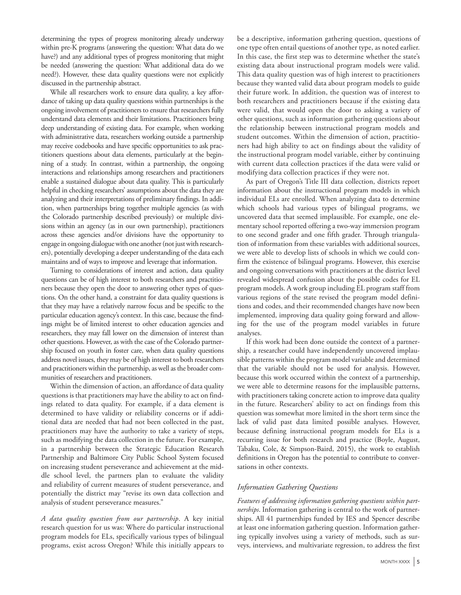determining the types of progress monitoring already underway within pre-K programs (answering the question: What data do we have?) and any additional types of progress monitoring that might be needed (answering the question: What additional data do we need?). However, these data quality questions were not explicitly discussed in the partnership abstract.

While all researchers work to ensure data quality, a key affordance of taking up data quality questions within partnerships is the ongoing involvement of practitioners to ensure that researchers fully understand data elements and their limitations. Practitioners bring deep understanding of existing data. For example, when working with administrative data, researchers working outside a partnership may receive codebooks and have specific opportunities to ask practitioners questions about data elements, particularly at the beginning of a study. In contrast, within a partnership, the ongoing interactions and relationships among researchers and practitioners enable a sustained dialogue about data quality. This is particularly helpful in checking researchers' assumptions about the data they are analyzing and their interpretations of preliminary findings. In addition, when partnerships bring together multiple agencies (as with the Colorado partnership described previously) or multiple divisions within an agency (as in our own partnership), practitioners across these agencies and/or divisions have the opportunity to engage in ongoing dialogue with one another (not just with researchers), potentially developing a deeper understanding of the data each maintains and of ways to improve and leverage that information.

Turning to considerations of interest and action, data quality questions can be of high interest to both researchers and practitioners because they open the door to answering other types of questions. On the other hand, a constraint for data quality questions is that they may have a relatively narrow focus and be specific to the particular education agency's context. In this case, because the findings might be of limited interest to other education agencies and researchers, they may fall lower on the dimension of interest than other questions. However, as with the case of the Colorado partnership focused on youth in foster care, when data quality questions address novel issues, they may be of high interest to both researchers and practitioners within the partnership, as well as the broader communities of researchers and practitioners.

Within the dimension of action, an affordance of data quality questions is that practitioners may have the ability to act on findings related to data quality. For example, if a data element is determined to have validity or reliability concerns or if additional data are needed that had not been collected in the past, practitioners may have the authority to take a variety of steps, such as modifying the data collection in the future. For example, in a partnership between the Strategic Education Research Partnership and Baltimore City Public School System focused on increasing student perseverance and achievement at the middle school level, the partners plan to evaluate the validity and reliability of current measures of student perseverance, and potentially the district may "revise its own data collection and analysis of student perseverance measures."

*A data quality question from our partnership*. A key initial research question for us was: Where do particular instructional program models for ELs, specifically various types of bilingual programs, exist across Oregon? While this initially appears to

be a descriptive, information gathering question, questions of one type often entail questions of another type, as noted earlier. In this case, the first step was to determine whether the state's existing data about instructional program models were valid. This data quality question was of high interest to practitioners because they wanted valid data about program models to guide their future work. In addition, the question was of interest to both researchers and practitioners because if the existing data were valid, that would open the door to asking a variety of other questions, such as information gathering questions about the relationship between instructional program models and student outcomes. Within the dimension of action, practitioners had high ability to act on findings about the validity of the instructional program model variable, either by continuing with current data collection practices if the data were valid or modifying data collection practices if they were not.

As part of Oregon's Title III data collection, districts report information about the instructional program models in which individual ELs are enrolled. When analyzing data to determine which schools had various types of bilingual programs, we uncovered data that seemed implausible. For example, one elementary school reported offering a two-way immersion program to one second grader and one fifth grader. Through triangulation of information from these variables with additional sources, we were able to develop lists of schools in which we could confirm the existence of bilingual programs. However, this exercise and ongoing conversations with practitioners at the district level revealed widespread confusion about the possible codes for EL program models. A work group including EL program staff from various regions of the state revised the program model definitions and codes, and their recommended changes have now been implemented, improving data quality going forward and allowing for the use of the program model variables in future analyses.

If this work had been done outside the context of a partnership, a researcher could have independently uncovered implausible patterns within the program model variable and determined that the variable should not be used for analysis. However, because this work occurred within the context of a partnership, we were able to determine reasons for the implausible patterns, with practitioners taking concrete action to improve data quality in the future. Researchers' ability to act on findings from this question was somewhat more limited in the short term since the lack of valid past data limited possible analyses. However, because defining instructional program models for ELs is a recurring issue for both research and practice (Boyle, August, Tabaku, Cole, & Simpson-Baird, 2015), the work to establish definitions in Oregon has the potential to contribute to conversations in other contexts.

## *Information Gathering Questions*

*Features of addressing information gathering questions within partnerships*. Information gathering is central to the work of partnerships. All 41 partnerships funded by IES and Spencer describe at least one information gathering question. Information gathering typically involves using a variety of methods, such as surveys, interviews, and multivariate regression, to address the first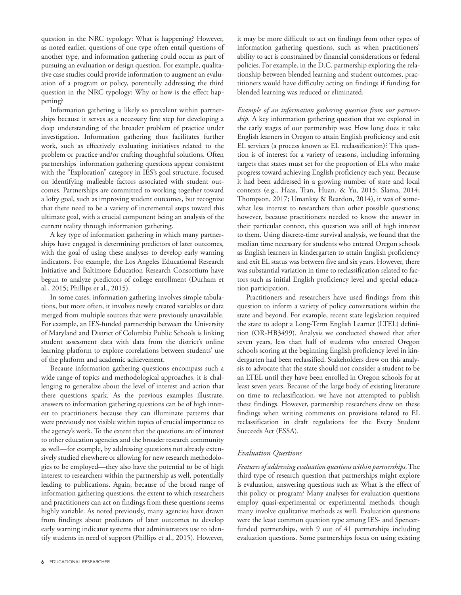question in the NRC typology: What is happening? However, as noted earlier, questions of one type often entail questions of another type, and information gathering could occur as part of pursuing an evaluation or design question. For example, qualitative case studies could provide information to augment an evaluation of a program or policy, potentially addressing the third question in the NRC typology: Why or how is the effect happening?

Information gathering is likely so prevalent within partnerships because it serves as a necessary first step for developing a deep understanding of the broader problem of practice under investigation. Information gathering thus facilitates further work, such as effectively evaluating initiatives related to the problem or practice and/or crafting thoughtful solutions. Often partnerships' information gathering questions appear consistent with the "Exploration" category in IES's goal structure, focused on identifying malleable factors associated with student outcomes. Partnerships are committed to working together toward a lofty goal, such as improving student outcomes, but recognize that there need to be a variety of incremental steps toward this ultimate goal, with a crucial component being an analysis of the current reality through information gathering.

A key type of information gathering in which many partnerships have engaged is determining predictors of later outcomes, with the goal of using these analyses to develop early warning indicators. For example, the Los Angeles Educational Research Initiative and Baltimore Education Research Consortium have begun to analyze predictors of college enrollment (Durham et al., 2015; Phillips et al., 2015).

In some cases, information gathering involves simple tabulations, but more often, it involves newly created variables or data merged from multiple sources that were previously unavailable. For example, an IES-funded partnership between the University of Maryland and District of Columbia Public Schools is linking student assessment data with data from the district's online learning platform to explore correlations between students' use of the platform and academic achievement.

Because information gathering questions encompass such a wide range of topics and methodological approaches, it is challenging to generalize about the level of interest and action that these questions spark. As the previous examples illustrate, answers to information gathering questions can be of high interest to practitioners because they can illuminate patterns that were previously not visible within topics of crucial importance to the agency's work. To the extent that the questions are of interest to other education agencies and the broader research community as well—for example, by addressing questions not already extensively studied elsewhere or allowing for new research methodologies to be employed—they also have the potential to be of high interest to researchers within the partnership as well, potentially leading to publications. Again, because of the broad range of information gathering questions, the extent to which researchers and practitioners can act on findings from these questions seems highly variable. As noted previously, many agencies have drawn from findings about predictors of later outcomes to develop early warning indicator systems that administrators use to identify students in need of support (Phillips et al., 2015). However,

it may be more difficult to act on findings from other types of information gathering questions, such as when practitioners' ability to act is constrained by financial considerations or federal policies. For example, in the D.C. partnership exploring the relationship between blended learning and student outcomes, practitioners would have difficulty acting on findings if funding for blended learning was reduced or eliminated.

*Example of an information gathering question from our partnership*. A key information gathering question that we explored in the early stages of our partnership was: How long does it take English learners in Oregon to attain English proficiency and exit EL services (a process known as EL reclassification)? This question is of interest for a variety of reasons, including informing targets that states must set for the proportion of ELs who make progress toward achieving English proficiency each year. Because it had been addressed in a growing number of state and local contexts (e.g., Haas, Tran, Huan, & Yu, 2015; Slama, 2014; Thompson, 2017; Umanksy & Reardon, 2014), it was of somewhat less interest to researchers than other possible questions; however, because practitioners needed to know the answer in their particular context, this question was still of high interest to them. Using discrete-time survival analysis, we found that the median time necessary for students who entered Oregon schools as English learners in kindergarten to attain English proficiency and exit EL status was between five and six years. However, there was substantial variation in time to reclassification related to factors such as initial English proficiency level and special education participation.

Practitioners and researchers have used findings from this question to inform a variety of policy conversations within the state and beyond. For example, recent state legislation required the state to adopt a Long-Term English Learner (LTEL) definition (OR-HB3499). Analysis we conducted showed that after seven years, less than half of students who entered Oregon schools scoring at the beginning English proficiency level in kindergarten had been reclassified. Stakeholders drew on this analysis to advocate that the state should not consider a student to be an LTEL until they have been enrolled in Oregon schools for at least seven years. Because of the large body of existing literature on time to reclassification, we have not attempted to publish these findings. However, partnership researchers drew on these findings when writing comments on provisions related to EL reclassification in draft regulations for the Every Student Succeeds Act (ESSA).

## *Evaluation Questions*

*Features of addressing evaluation questions within partnerships*. The third type of research question that partnerships might explore is evaluation, answering questions such as: What is the effect of this policy or program? Many analyses for evaluation questions employ quasi-experimental or experimental methods, though many involve qualitative methods as well. Evaluation questions were the least common question type among IES- and Spencerfunded partnerships, with 9 out of 41 partnerships including evaluation questions. Some partnerships focus on using existing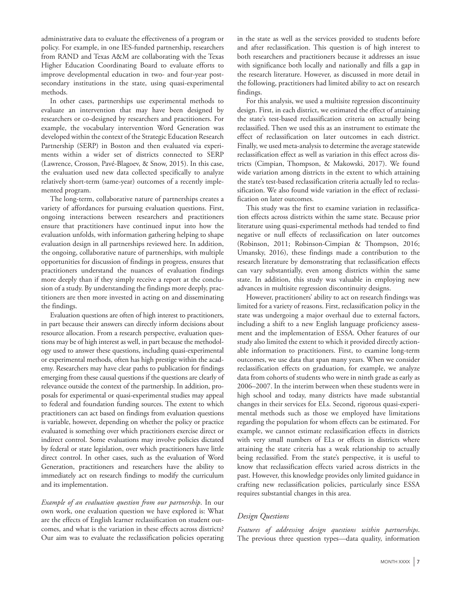administrative data to evaluate the effectiveness of a program or policy. For example, in one IES-funded partnership, researchers from RAND and Texas A&M are collaborating with the Texas Higher Education Coordinating Board to evaluate efforts to improve developmental education in two- and four-year postsecondary institutions in the state, using quasi-experimental methods.

In other cases, partnerships use experimental methods to evaluate an intervention that may have been designed by researchers or co-designed by researchers and practitioners. For example, the vocabulary intervention Word Generation was developed within the context of the Strategic Education Research Partnership (SERP) in Boston and then evaluated via experiments within a wider set of districts connected to SERP (Lawrence, Crosson, Pavé-Blagoev, & Snow, 2015). In this case, the evaluation used new data collected specifically to analyze relatively short-term (same-year) outcomes of a recently implemented program.

The long-term, collaborative nature of partnerships creates a variety of affordances for pursuing evaluation questions. First, ongoing interactions between researchers and practitioners ensure that practitioners have continued input into how the evaluation unfolds, with information gathering helping to shape evaluation design in all partnerships reviewed here. In addition, the ongoing, collaborative nature of partnerships, with multiple opportunities for discussion of findings in progress, ensures that practitioners understand the nuances of evaluation findings more deeply than if they simply receive a report at the conclusion of a study. By understanding the findings more deeply, practitioners are then more invested in acting on and disseminating the findings.

Evaluation questions are often of high interest to practitioners, in part because their answers can directly inform decisions about resource allocation. From a research perspective, evaluation questions may be of high interest as well, in part because the methodology used to answer these questions, including quasi-experimental or experimental methods, often has high prestige within the academy. Researchers may have clear paths to publication for findings emerging from these causal questions if the questions are clearly of relevance outside the context of the partnership. In addition, proposals for experimental or quasi-experimental studies may appeal to federal and foundation funding sources. The extent to which practitioners can act based on findings from evaluation questions is variable, however, depending on whether the policy or practice evaluated is something over which practitioners exercise direct or indirect control. Some evaluations may involve policies dictated by federal or state legislation, over which practitioners have little direct control. In other cases, such as the evaluation of Word Generation, practitioners and researchers have the ability to immediately act on research findings to modify the curriculum and its implementation.

*Example of an evaluation question from our partnership*. In our own work, one evaluation question we have explored is: What are the effects of English learner reclassification on student outcomes, and what is the variation in these effects across districts? Our aim was to evaluate the reclassification policies operating in the state as well as the services provided to students before and after reclassification. This question is of high interest to both researchers and practitioners because it addresses an issue with significance both locally and nationally and fills a gap in the research literature. However, as discussed in more detail in the following, practitioners had limited ability to act on research findings.

For this analysis, we used a multisite regression discontinuity design. First, in each district, we estimated the effect of attaining the state's test-based reclassification criteria on actually being reclassified. Then we used this as an instrument to estimate the effect of reclassification on later outcomes in each district. Finally, we used meta-analysis to determine the average statewide reclassification effect as well as variation in this effect across districts (Cimpian, Thompson, & Makowski, 2017). We found wide variation among districts in the extent to which attaining the state's test-based reclassification criteria actually led to reclassification. We also found wide variation in the effect of reclassification on later outcomes.

This study was the first to examine variation in reclassification effects across districts within the same state. Because prior literature using quasi-experimental methods had tended to find negative or null effects of reclassification on later outcomes (Robinson, 2011; Robinson-Cimpian & Thompson, 2016; Umansky, 2016), these findings made a contribution to the research literature by demonstrating that reclassification effects can vary substantially, even among districts within the same state. In addition, this study was valuable in employing new advances in multisite regression discontinuity designs.

However, practitioners' ability to act on research findings was limited for a variety of reasons. First, reclassification policy in the state was undergoing a major overhaul due to external factors, including a shift to a new English language proficiency assessment and the implementation of ESSA. Other features of our study also limited the extent to which it provided directly actionable information to practitioners. First, to examine long-term outcomes, we use data that span many years. When we consider reclassification effects on graduation, for example, we analyze data from cohorts of students who were in ninth grade as early as 2006–2007. In the interim between when these students were in high school and today, many districts have made substantial changes in their services for ELs. Second, rigorous quasi-experimental methods such as those we employed have limitations regarding the population for whom effects can be estimated. For example, we cannot estimate reclassification effects in districts with very small numbers of ELs or effects in districts where attaining the state criteria has a weak relationship to actually being reclassified. From the state's perspective, it is useful to know that reclassification effects varied across districts in the past. However, this knowledge provides only limited guidance in crafting new reclassification policies, particularly since ESSA requires substantial changes in this area.

## *Design Questions*

*Features of addressing design questions within partnerships*. The previous three question types—data quality, information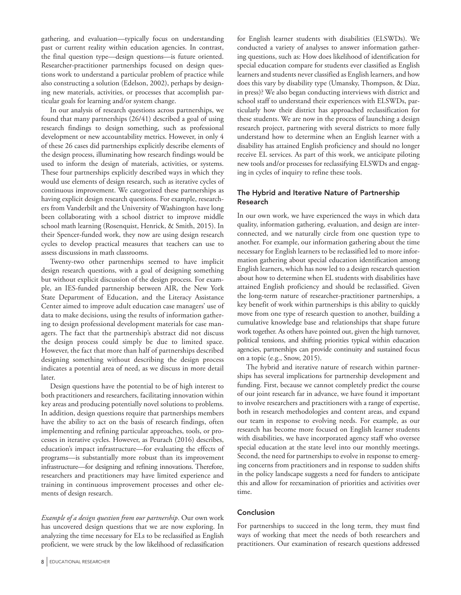gathering, and evaluation—typically focus on understanding past or current reality within education agencies. In contrast, the final question type—design questions—is future oriented. Researcher-practitioner partnerships focused on design questions work to understand a particular problem of practice while also constructing a solution (Edelson, 2002), perhaps by designing new materials, activities, or processes that accomplish particular goals for learning and/or system change.

In our analysis of research questions across partnerships, we found that many partnerships (26/41) described a goal of using research findings to design something, such as professional development or new accountability metrics. However, in only 4 of these 26 cases did partnerships explicitly describe elements of the design process, illuminating how research findings would be used to inform the design of materials, activities, or systems. These four partnerships explicitly described ways in which they would use elements of design research, such as iterative cycles of continuous improvement. We categorized these partnerships as having explicit design research questions. For example, researchers from Vanderbilt and the University of Washington have long been collaborating with a school district to improve middle school math learning (Rosenquist, Henrick, & Smith, 2015). In their Spencer-funded work, they now are using design research cycles to develop practical measures that teachers can use to assess discussions in math classrooms.

Twenty-two other partnerships seemed to have implicit design research questions, with a goal of designing something but without explicit discussion of the design process. For example, an IES-funded partnership between AIR, the New York State Department of Education, and the Literacy Assistance Center aimed to improve adult education case managers' use of data to make decisions, using the results of information gathering to design professional development materials for case managers. The fact that the partnership's abstract did not discuss the design process could simply be due to limited space. However, the fact that more than half of partnerships described designing something without describing the design process indicates a potential area of need, as we discuss in more detail later.

Design questions have the potential to be of high interest to both practitioners and researchers, facilitating innovation within key areas and producing potentially novel solutions to problems. In addition, design questions require that partnerships members have the ability to act on the basis of research findings, often implementing and refining particular approaches, tools, or processes in iterative cycles. However, as Peurach (2016) describes, education's impact infrastructure—for evaluating the effects of programs—is substantially more robust than its improvement infrastructure—for designing and refining innovations. Therefore, researchers and practitioners may have limited experience and training in continuous improvement processes and other elements of design research.

*Example of a design question from our partnership*. Our own work has uncovered design questions that we are now exploring. In analyzing the time necessary for ELs to be reclassified as English proficient, we were struck by the low likelihood of reclassification

for English learner students with disabilities (ELSWDs). We conducted a variety of analyses to answer information gathering questions, such as: How does likelihood of identification for special education compare for students ever classified as English learners and students never classified as English learners, and how does this vary by disability type (Umansky, Thompson, & Díaz, in press)? We also began conducting interviews with district and school staff to understand their experiences with ELSWDs, particularly how their district has approached reclassification for these students. We are now in the process of launching a design research project, partnering with several districts to more fully understand how to determine when an English learner with a disability has attained English proficiency and should no longer receive EL services. As part of this work, we anticipate piloting new tools and/or processes for reclassifying ELSWDs and engaging in cycles of inquiry to refine these tools.

## The Hybrid and Iterative Nature of Partnership Research

In our own work, we have experienced the ways in which data quality, information gathering, evaluation, and design are interconnected, and we naturally circle from one question type to another. For example, our information gathering about the time necessary for English learners to be reclassified led to more information gathering about special education identification among English learners, which has now led to a design research question about how to determine when EL students with disabilities have attained English proficiency and should be reclassified. Given the long-term nature of researcher-practitioner partnerships, a key benefit of work within partnerships is this ability to quickly move from one type of research question to another, building a cumulative knowledge base and relationships that shape future work together. As others have pointed out, given the high turnover, political tensions, and shifting priorities typical within education agencies, partnerships can provide continuity and sustained focus on a topic (e.g., Snow, 2015).

The hybrid and iterative nature of research within partnerships has several implications for partnership development and funding. First, because we cannot completely predict the course of our joint research far in advance, we have found it important to involve researchers and practitioners with a range of expertise, both in research methodologies and content areas, and expand our team in response to evolving needs. For example, as our research has become more focused on English learner students with disabilities, we have incorporated agency staff who oversee special education at the state level into our monthly meetings. Second, the need for partnerships to evolve in response to emerging concerns from practitioners and in response to sudden shifts in the policy landscape suggests a need for funders to anticipate this and allow for reexamination of priorities and activities over time.

#### Conclusion

For partnerships to succeed in the long term, they must find ways of working that meet the needs of both researchers and practitioners. Our examination of research questions addressed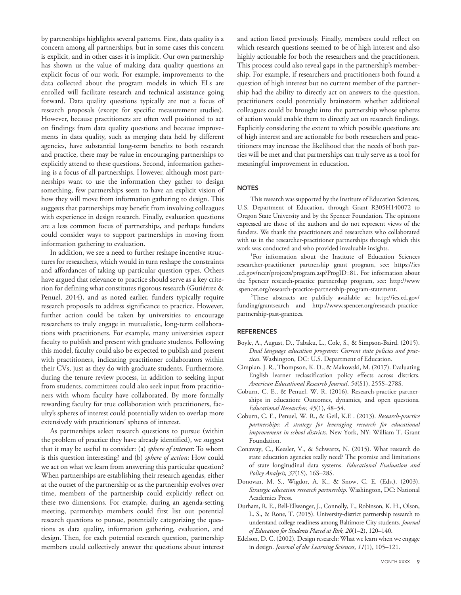by partnerships highlights several patterns. First, data quality is a concern among all partnerships, but in some cases this concern is explicit, and in other cases it is implicit. Our own partnership has shown us the value of making data quality questions an explicit focus of our work. For example, improvements to the data collected about the program models in which ELs are enrolled will facilitate research and technical assistance going forward. Data quality questions typically are not a focus of research proposals (except for specific measurement studies). However, because practitioners are often well positioned to act on findings from data quality questions and because improvements in data quality, such as merging data held by different agencies, have substantial long-term benefits to both research and practice, there may be value in encouraging partnerships to explicitly attend to these questions. Second, information gathering is a focus of all partnerships. However, although most partnerships want to use the information they gather to design something, few partnerships seem to have an explicit vision of how they will move from information gathering to design. This suggests that partnerships may benefit from involving colleagues with experience in design research. Finally, evaluation questions are a less common focus of partnerships, and perhaps funders could consider ways to support partnerships in moving from information gathering to evaluation.

In addition, we see a need to further reshape incentive structures for researchers, which would in turn reshape the constraints and affordances of taking up particular question types. Others have argued that relevance to practice should serve as a key criterion for defining what constitutes rigorous research (Gutiérrez & Penuel, 2014), and as noted earlier, funders typically require research proposals to address significance to practice. However, further action could be taken by universities to encourage researchers to truly engage in mutualistic, long-term collaborations with practitioners. For example, many universities expect faculty to publish and present with graduate students. Following this model, faculty could also be expected to publish and present with practitioners, indicating practitioner collaborators within their CVs, just as they do with graduate students. Furthermore, during the tenure review process, in addition to seeking input from students, committees could also seek input from practitioners with whom faculty have collaborated. By more formally rewarding faculty for true collaboration with practitioners, faculty's spheres of interest could potentially widen to overlap more extensively with practitioners' spheres of interest.

As partnerships select research questions to pursue (within the problem of practice they have already identified), we suggest that it may be useful to consider: (a) *sphere of interest*: To whom is this question interesting? and (b) *sphere of action*: How could we act on what we learn from answering this particular question? When partnerships are establishing their research agendas, either at the outset of the partnership or as the partnership evolves over time, members of the partnership could explicitly reflect on these two dimensions. For example, during an agenda-setting meeting, partnership members could first list out potential research questions to pursue, potentially categorizing the questions as data quality, information gathering, evaluation, and design. Then, for each potential research question, partnership members could collectively answer the questions about interest

and action listed previously. Finally, members could reflect on which research questions seemed to be of high interest and also highly actionable for both the researchers and the practitioners. This process could also reveal gaps in the partnership's membership. For example, if researchers and practitioners both found a question of high interest but no current member of the partnership had the ability to directly act on answers to the question, practitioners could potentially brainstorm whether additional colleagues could be brought into the partnership whose spheres of action would enable them to directly act on research findings. Explicitly considering the extent to which possible questions are of high interest and are actionable for both researchers and practitioners may increase the likelihood that the needs of both parties will be met and that partnerships can truly serve as a tool for meaningful improvement in education.

#### **NOTES**

This research was supported by the Institute of Education Sciences, U.S. Department of Education, through Grant R305H140072 to Oregon State University and by the Spencer Foundation. The opinions expressed are those of the authors and do not represent views of the funders. We thank the practitioners and researchers who collaborated with us in the researcher-practitioner partnerships through which this work was conducted and who provided invaluable insights.

1 For information about the Institute of Education Sciences researcher-practitioner partnership grant program, see: https://ies .ed.gov/ncer/projects/program.asp?ProgID=81. For information about the Spencer research-practice partnership program, see: http://www .spencer.org/research-practice-partnership-program-statement.

2 These abstracts are publicly available at: http://ies.ed.gov/ funding/grantsearch and http://www.spencer.org/research-practicepartnership-past-grantees.

#### **REFERENCES**

- Boyle, A., August, D., Tabaku, L., Cole, S., & Simpson-Baird. (2015). *Dual language education programs: Current state policies and practices*. Washington, DC: U.S. Department of Education.
- Cimpian, J. R., Thompson, K. D., & Makowski, M. (2017). Evaluating English learner reclassification policy effects across districts. *American Educational Research Journal*, *54*(S1), 255S–278S.
- Coburn, C. E., & Penuel, W. R. (2016). Research-practice partnerships in education: Outcomes, dynamics, and open questions. *Educational Researcher*, *45*(1), 48–54.
- Coburn, C. E., Penuel, W. R., & Geil, K.E . (2013). *Research-practice partnerships: A strategy for leveraging research for educational improvement in school districts*. New York, NY: William T. Grant Foundation.
- Conaway, C., Keesler, V., & Schwartz, N. (2015). What research do state education agencies really need? The promise and limitations of state longitudinal data systems. *Educational Evaluation and Policy Analysis, 37*(1S), 16S–28S.
- Donovan, M. S., Wigdor, A. K., & Snow, C. E. (Eds.). (2003). *Strategic education research partnership*. Washington, DC: National Academies Press.
- Durham, R. E., Bell-Ellwanger, J., Connolly, F., Robinson, K. H., Olson, L. S., & Rone, T. (2015). University-district partnership research to understand college readiness among Baltimore City students. *Journal of Education for Students Placed at Risk, 20*(1–2), 120–140.
- Edelson, D. C. (2002). Design research: What we learn when we engage in design. *Journal of the Learning Sciences*, *11*(1), 105–121.